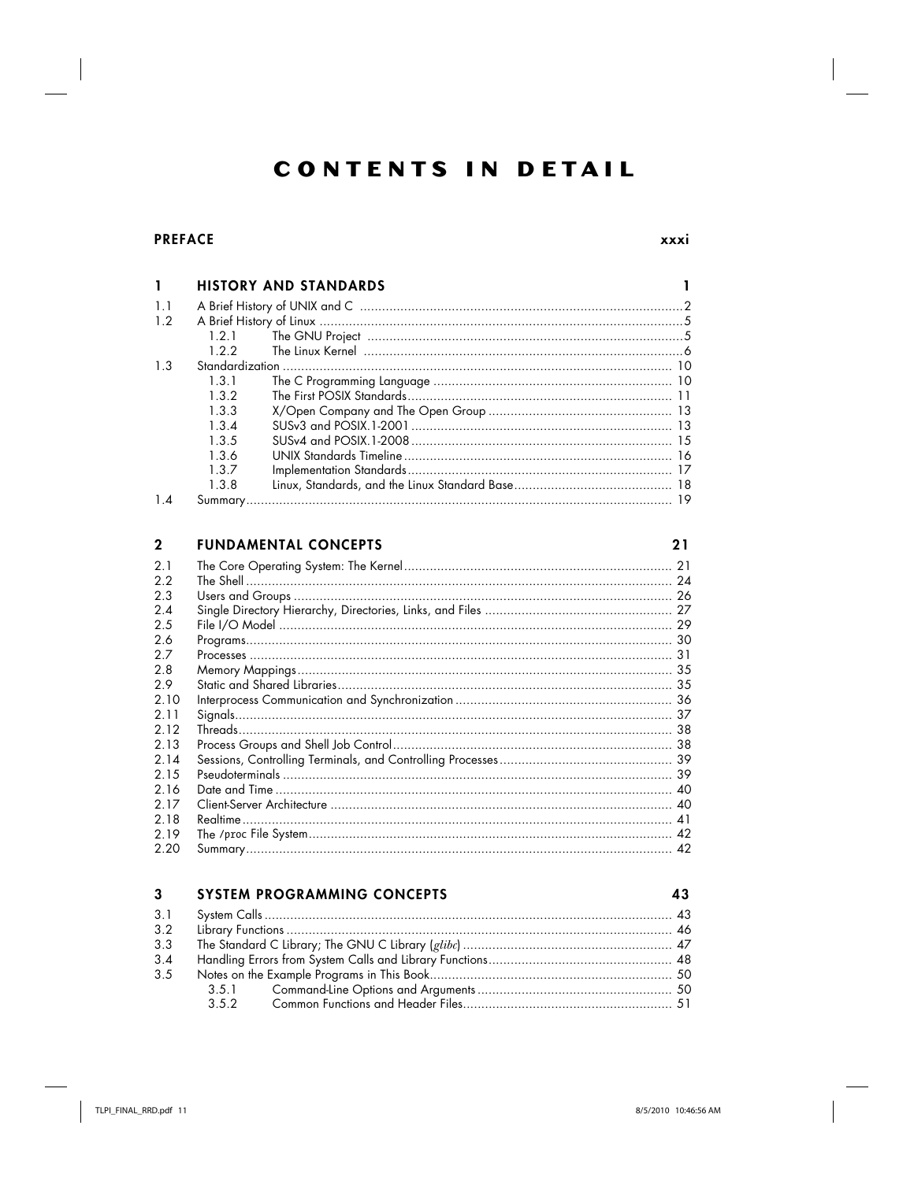# **CONTENTS IN DETAIL**

# **PREFACE**

xxxi

 $21$ 

| L      |                           | <b>HISTORY AND STANDARDS</b> |  |
|--------|---------------------------|------------------------------|--|
| 1.1    |                           |                              |  |
| 1.2    |                           |                              |  |
|        | 1.2.1                     |                              |  |
|        | 1.2.2                     |                              |  |
| 1.3    |                           |                              |  |
|        | 1.3.1                     |                              |  |
|        | 1.3.2                     |                              |  |
|        | 1.3.3                     |                              |  |
|        | $1.3 \text{ }\mathcal{A}$ |                              |  |
|        | 1.3.5                     |                              |  |
|        | 1.3.6                     |                              |  |
|        | 1.3.7                     |                              |  |
|        | 1.3.8                     |                              |  |
| $1\,4$ |                           |                              |  |

#### $\overline{2}$ **FUNDAMENTAL CONCEPTS**

| 2.1       | 21 |
|-----------|----|
| 22<br>2.3 |    |
| 24        |    |
| 2.5       |    |
| 26        |    |
| 27        |    |
| 2.8       |    |
| 29        |    |
| 2.10      |    |
| 2.11      |    |
| 2.12      |    |
| 2.13      |    |
| 2.14      |    |
| 2.15      |    |
| 2.16      |    |
| 2.17      |    |
| 2.18      |    |
| 2.19      | 42 |
| 2.20      | 42 |

#### $3<sup>1</sup>$ SYSTEM PROGRAMMING CONCEPTS

| 3.2 |  |  |
|-----|--|--|
| 3.3 |  |  |
| 3.4 |  |  |
| 3.5 |  |  |
|     |  |  |
|     |  |  |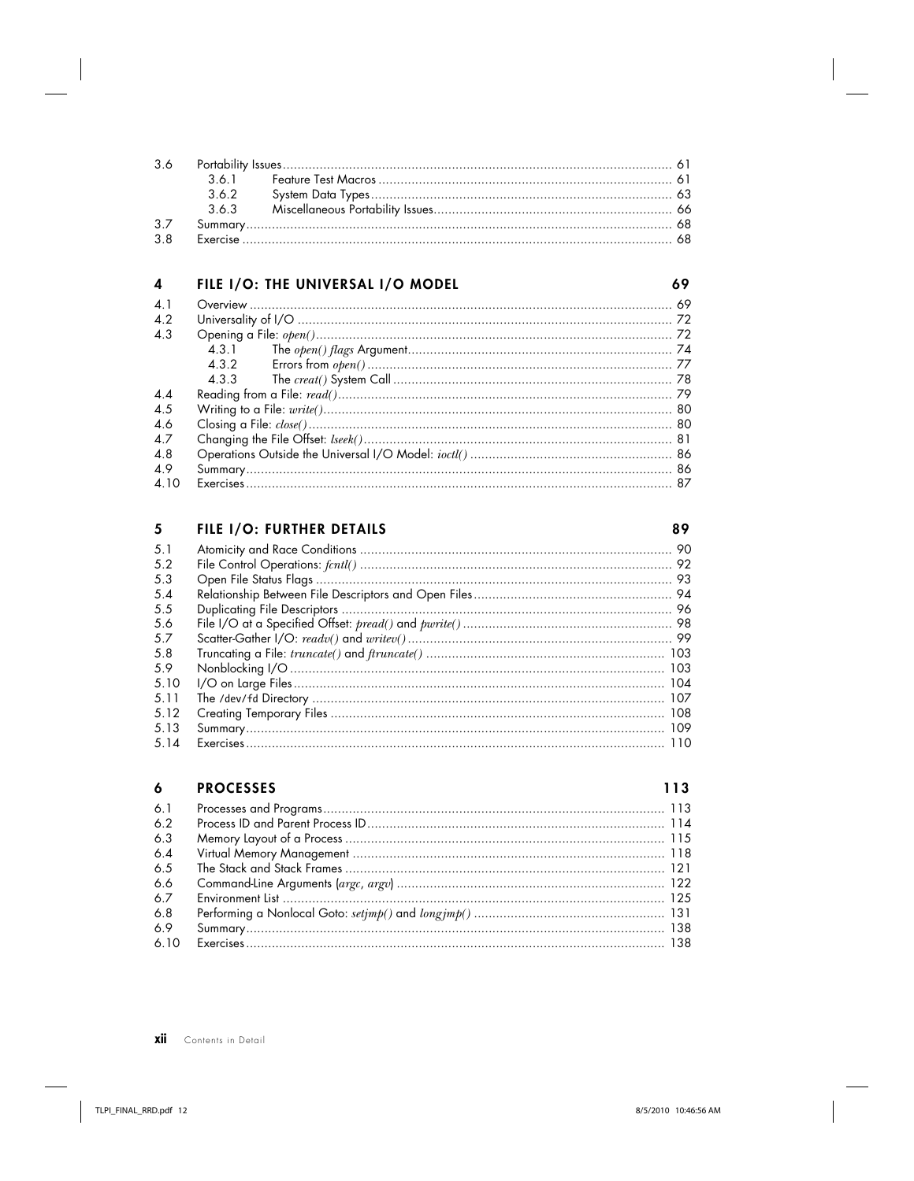| 3.7 |  |  |
|-----|--|--|
| 3 R |  |  |

#### 4 FILE I/O: THE UNIVERSAL I/O MODEL

| $\Delta$ 1      |       |  |
|-----------------|-------|--|
| 4.2             |       |  |
| 4.3             |       |  |
|                 | 4.3.1 |  |
|                 |       |  |
|                 |       |  |
| $\overline{44}$ |       |  |
| 4.5             |       |  |
| 4.6             |       |  |
| 47              |       |  |
| 4.8             |       |  |
| 49              |       |  |
| 4.10            |       |  |

#### 5 FILE I/O: FURTHER DETAILS

#### $5.1$  $5.2$  $5.3$  $5.4$ 5.5 5.6 5.7 5.8 5.9 5.10  $5.11$  $5.12$ 5.13  $5.14$

#### $\ddot{\mathbf{6}}$ **PROCESSES**

113

69

| 6.1  |                   |  |
|------|-------------------|--|
| -6.2 |                   |  |
| 6.3  |                   |  |
| 6.4  |                   |  |
| 6.5  |                   |  |
| 6.6  |                   |  |
| 67   | $\frac{125}{125}$ |  |
| 6.8  |                   |  |
| 6.9  |                   |  |
| 6.10 |                   |  |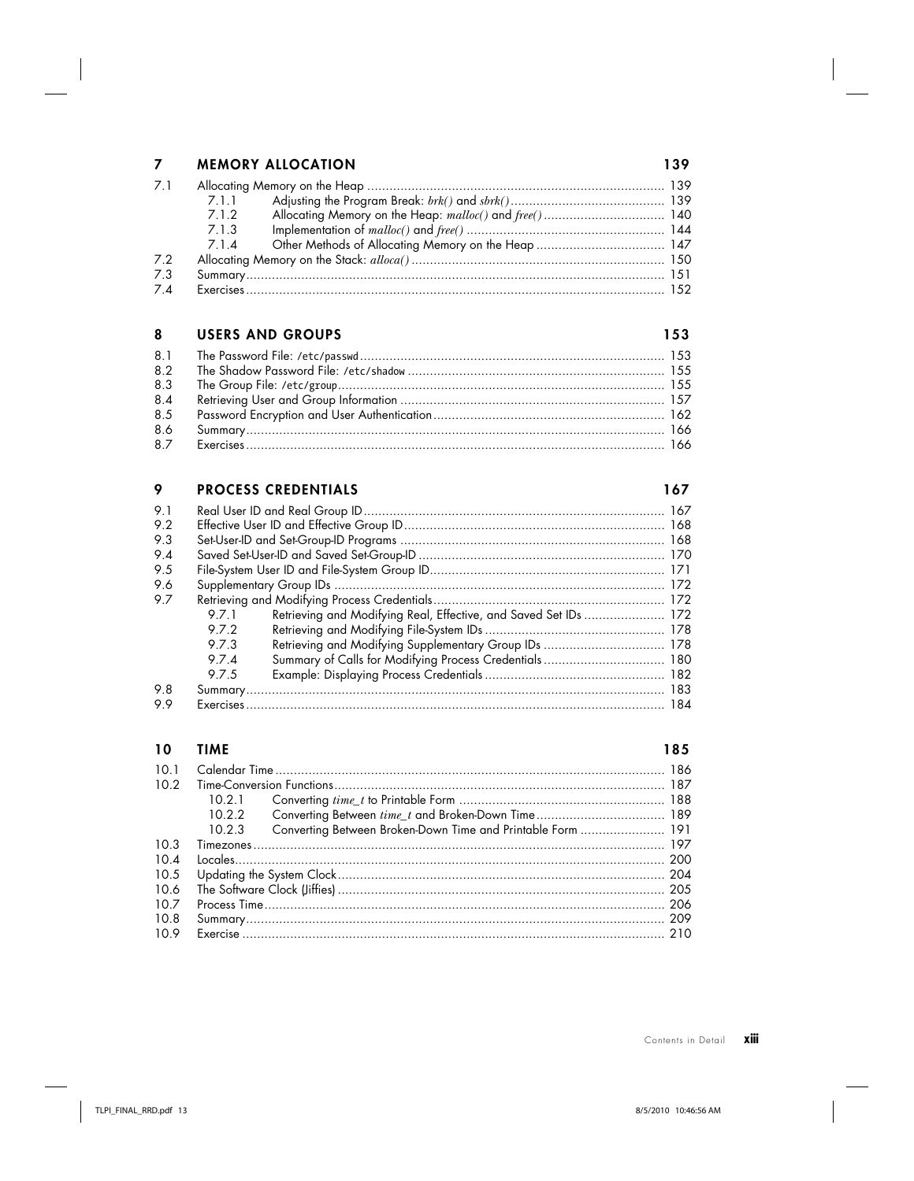## **7 MEMORY ALLOCATION 139**

| 7.1 |       |                                                         |  |
|-----|-------|---------------------------------------------------------|--|
|     | 7.1.1 |                                                         |  |
|     | 712   | Allocating Memory on the Heap: malloc() and free()  140 |  |
|     | 7.1.3 |                                                         |  |
|     |       |                                                         |  |
| 7.2 |       |                                                         |  |
| 7.3 |       |                                                         |  |
| 7.4 |       |                                                         |  |

### **8 USERS AND GROUPS 153**

| 8.2 |  |
|-----|--|
| 8.3 |  |
| 8.4 |  |
| 8.5 |  |
| 8.6 |  |
| 8.7 |  |

### **9 PROCESS CREDENTIALS** 167

| 9.1 |       |                                                                  |  |
|-----|-------|------------------------------------------------------------------|--|
| 9.2 |       |                                                                  |  |
| 9.3 |       |                                                                  |  |
| 9.4 |       |                                                                  |  |
| 9.5 |       |                                                                  |  |
| 9.6 |       |                                                                  |  |
| 9.7 |       |                                                                  |  |
|     | 9.7.1 | Retrieving and Modifying Real, Effective, and Saved Set IDs  172 |  |
|     | 972   |                                                                  |  |
|     | 973   |                                                                  |  |
|     | 974   | Summary of Calls for Modifying Process Credentials  180          |  |
|     | 975   |                                                                  |  |
| 9.8 |       |                                                                  |  |
| 99  |       |                                                                  |  |

### **10 TIME 185**

| 10 1<br>10.2<br>10.3<br>$10\Delta$ | 10.21<br>10.2.2<br>10.2.3 | Converting Between Broken-Down Time and Printable Form  191 |  |
|------------------------------------|---------------------------|-------------------------------------------------------------|--|
| 10.5                               |                           |                                                             |  |
| 10.6                               |                           |                                                             |  |
| 107                                |                           |                                                             |  |
| 10.8                               |                           |                                                             |  |
| 10.9                               |                           |                                                             |  |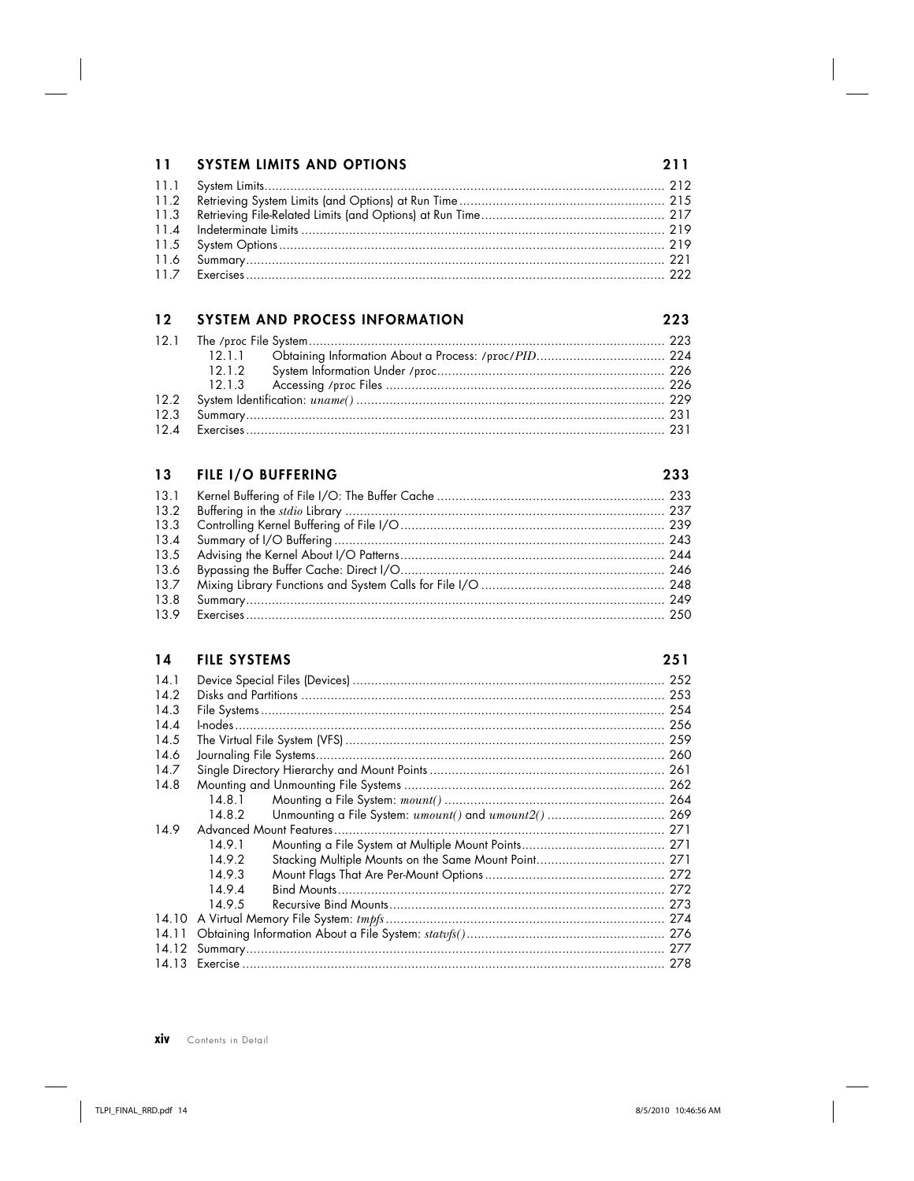| 11 SYSTEM LIMITS AND OPTIONS | 211 |
|------------------------------|-----|
|                              |     |
|                              |     |
|                              |     |
|                              |     |
|                              |     |
|                              |     |
|                              |     |

|  | 12 SYSTEM AND PROCESS INFORMATION | つつつ |
|--|-----------------------------------|-----|
|  |                                   |     |
|  |                                   |     |
|  |                                   |     |
|  |                                   |     |
|  |                                   |     |
|  |                                   |     |
|  |                                   |     |

|      | 13 FILE I/O BUFFERING | 233 |
|------|-----------------------|-----|
|      |                       |     |
|      |                       |     |
|      |                       |     |
|      |                       |     |
|      |                       |     |
|      |                       |     |
|      |                       |     |
| 13.8 |                       |     |
| 13.9 |                       |     |

| 14 |  | <b>FILE SYSTEMS</b> |  |
|----|--|---------------------|--|
|----|--|---------------------|--|

| v<br>۰. |  |
|---------|--|

| 14.1  |        |                                                       |      |
|-------|--------|-------------------------------------------------------|------|
| 142   |        |                                                       |      |
| 14.3  |        |                                                       |      |
| 14.4  |        |                                                       |      |
| 14.5  |        |                                                       |      |
| 14.6  |        |                                                       |      |
| 14.7  |        |                                                       |      |
| 14.8  |        |                                                       |      |
|       | 14.8.1 |                                                       |      |
|       | 14.8.2 | Unmounting a File System: umount() and umount2()  269 |      |
| 14.9  |        |                                                       |      |
|       | 14.9.1 |                                                       |      |
|       | 1492   |                                                       |      |
|       | 14.9.3 |                                                       |      |
|       | 1494   |                                                       |      |
|       | 14.9.5 |                                                       |      |
| 14.10 |        |                                                       |      |
| 14.11 |        |                                                       |      |
| 14.12 |        |                                                       | -277 |
| 14 13 |        |                                                       | 278  |

**xiv** Contents in Detail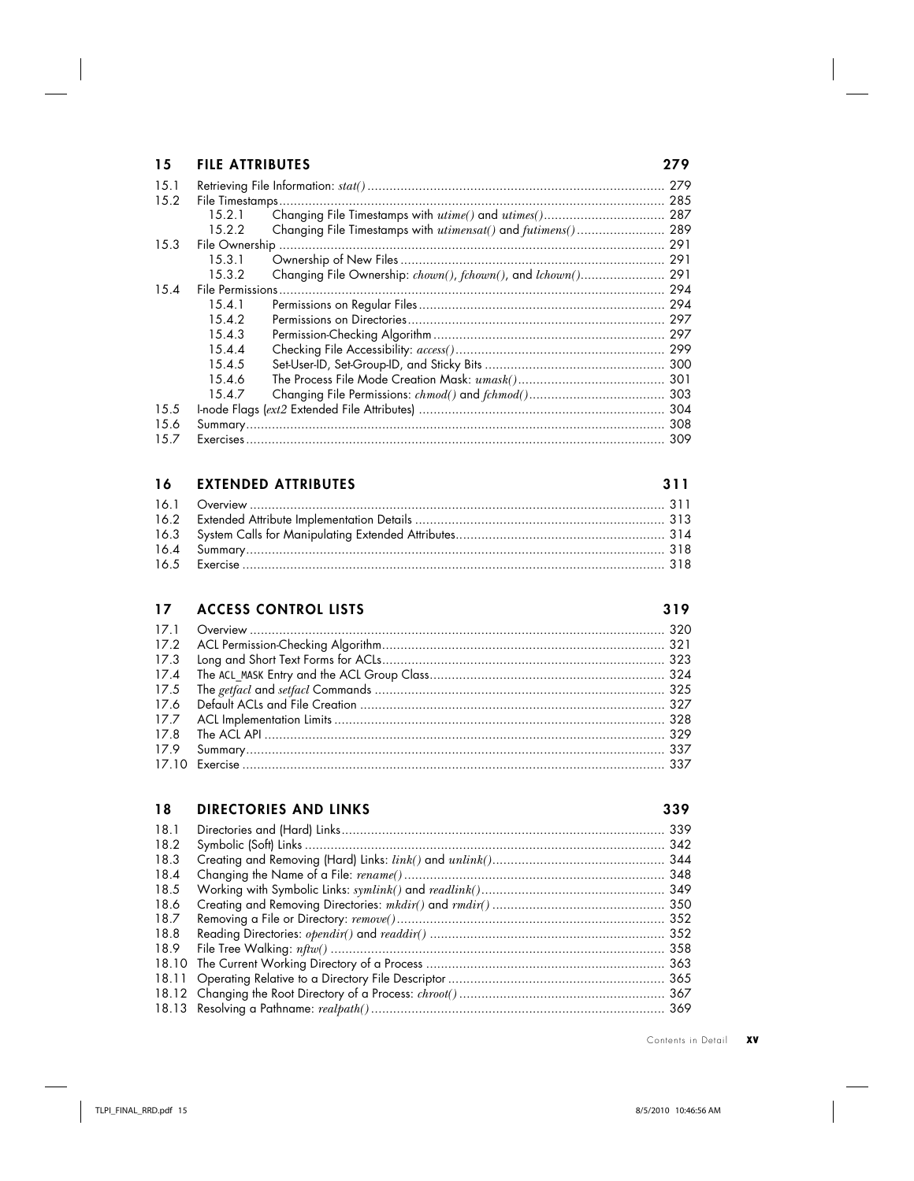| 15   | <b>FILE ATTRIBUTES</b> |                                                          | 279 |
|------|------------------------|----------------------------------------------------------|-----|
| 15.1 |                        |                                                          | 279 |
| 15.2 |                        |                                                          | 285 |
|      | 15.2.1                 | Changing File Timestamps with utime() and utimes()       | 287 |
|      | 15.2.2                 | Changing File Timestamps with utimensat() and futimens() | 289 |
| 15.3 |                        |                                                          | 291 |
|      | 15.3.1                 |                                                          | 291 |
|      | 15.3.2                 | Changing File Ownership: chown(), fchown(), and lchown() | 291 |
| 15.4 | File Permissions       |                                                          | 294 |
|      | 15.4.1                 |                                                          | 294 |
|      | 15.4.2                 |                                                          | 297 |
|      | 15.4.3                 |                                                          | 297 |
|      | 15.4.4                 |                                                          | 299 |
|      | 15.4.5                 |                                                          | 300 |
|      | 15.4.6                 |                                                          | 301 |
|      | 15.4.7                 |                                                          | 303 |
| 15.5 |                        |                                                          | 304 |
| 15.6 | Summary                |                                                          | 308 |
| 15.7 |                        |                                                          | 309 |

| 16 EXTENDED ATTRIBUTES | 311 |
|------------------------|-----|
|                        |     |
|                        |     |
|                        |     |
|                        |     |
|                        |     |

# **17 ACCESS CONTROL LISTS 319**

# **18 DIRECTORIES AND LINKS 339**

| 339 |
|-----|
|     |
|     |
|     |
|     |
|     |
|     |
|     |
|     |
|     |
|     |
|     |
|     |
|     |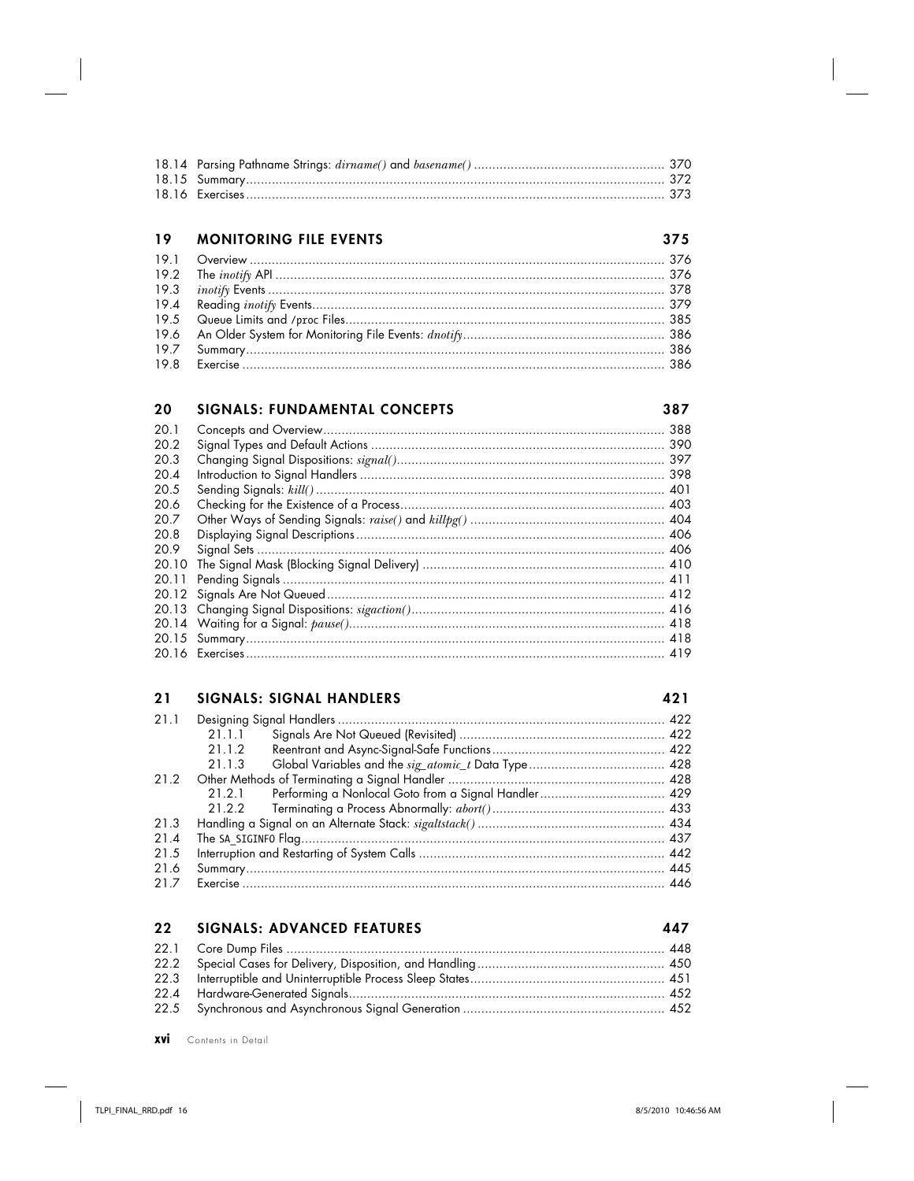#### 19 **MONITORING FILE EVENTS**

| $198$ Fxercise $386$ |  |
|----------------------|--|

#### 20 **SIGNALS: FUNDAMENTAL CONCEPTS**

 $20.1$ 20.2 20.3  $20 \Delta$ 20.5 20.6 20.7 20.8 20.9 

### **SIGNALS: SIGNAL HANDLERS**  $21$

### 421

375

387

| 21.1 |          |                                                             |     |
|------|----------|-------------------------------------------------------------|-----|
|      | 21.1.1   |                                                             |     |
|      | 21.1.2   |                                                             |     |
|      | 21.1.3   |                                                             |     |
| 21.2 |          |                                                             |     |
|      |          | 21.2.1 Performing a Nonlocal Goto from a Signal Handler 429 |     |
|      |          |                                                             |     |
| 21.3 |          |                                                             |     |
| 21.4 |          |                                                             |     |
| 21.5 |          |                                                             |     |
| 21.6 |          |                                                             |     |
| 21.7 | Exercise |                                                             | 446 |

#### $22$ **SIGNALS: ADVANCED FEATURES**

xvi Contents in Detail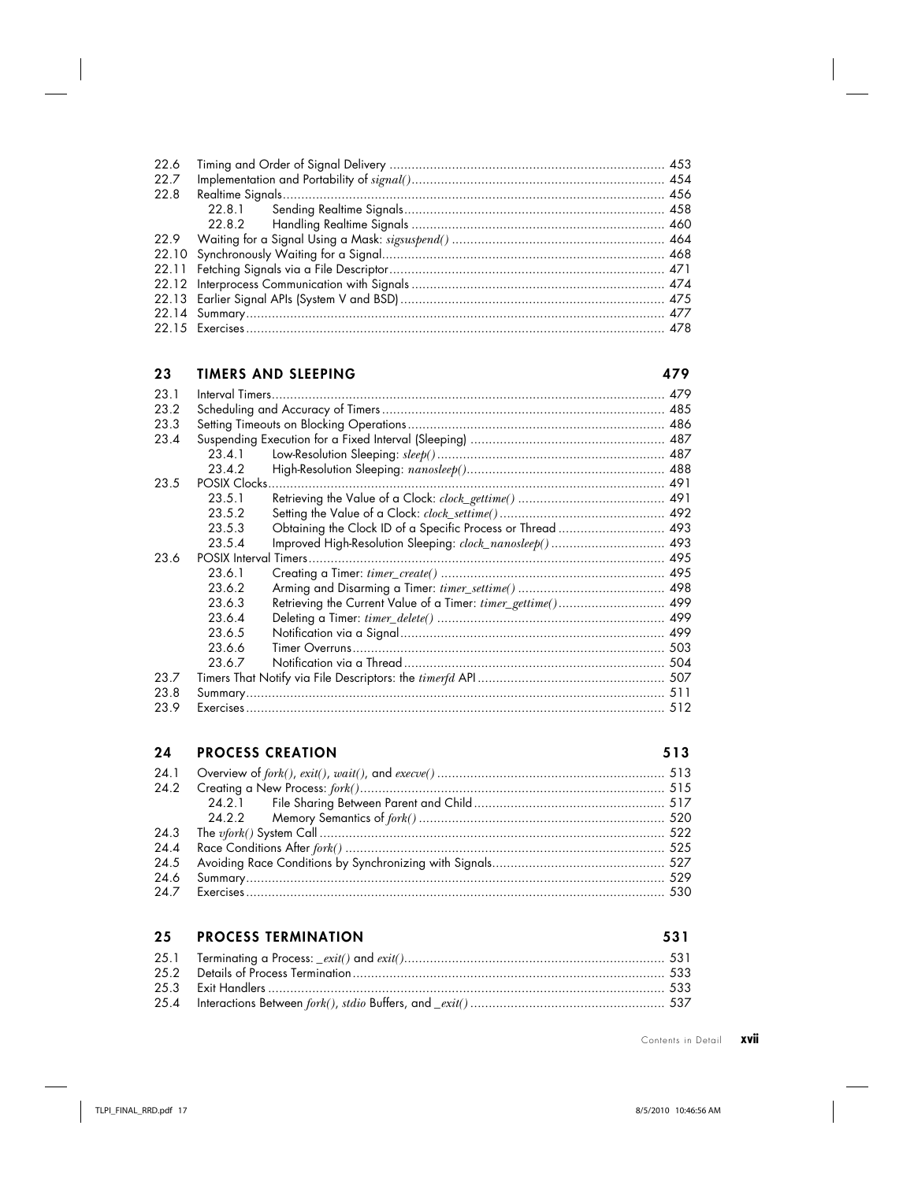| 22.6 |  |
|------|--|
| 22.7 |  |
| 22.8 |  |
|      |  |
|      |  |
|      |  |
|      |  |
|      |  |
|      |  |
|      |  |
|      |  |
|      |  |

## **23 TIMERS AND SLEEPING 479**

| 23.1 | Interval Timers. |                                                              | 479 |  |  |
|------|------------------|--------------------------------------------------------------|-----|--|--|
| 23.2 |                  |                                                              |     |  |  |
| 23.3 |                  |                                                              |     |  |  |
| 23.4 |                  |                                                              |     |  |  |
|      | 23.4.1           |                                                              |     |  |  |
|      | 23.4.2           |                                                              |     |  |  |
| 23.5 | POSIX Clocks.    |                                                              |     |  |  |
|      | 23.5.1           |                                                              |     |  |  |
|      | 23.5.2           |                                                              |     |  |  |
|      | 23.5.3           | Obtaining the Clock ID of a Specific Process or Thread  493  |     |  |  |
|      | 23.5.4           | Improved High-Resolution Sleeping: clock_nanosleep() 493     |     |  |  |
| 23.6 |                  |                                                              |     |  |  |
|      | 23.6.1           |                                                              |     |  |  |
|      | 23.6.2           |                                                              |     |  |  |
|      | 23.6.3           | Retrieving the Current Value of a Timer: timer_gettime() 499 |     |  |  |
|      | 23.6.4           |                                                              |     |  |  |
|      | 23.6.5           |                                                              |     |  |  |
|      | 23.6.6           |                                                              |     |  |  |
|      | 23.6.7           |                                                              |     |  |  |
| 23.7 |                  |                                                              |     |  |  |
| 23.8 |                  |                                                              |     |  |  |
| 23.9 | Exercises        |                                                              | 512 |  |  |

## **24 PROCESS CREATION 513**

| 24.4 |  |
|------|--|
|      |  |
|      |  |
|      |  |

| 25 | <b>PROCESS TERMINATION</b> |  |
|----|----------------------------|--|
|    |                            |  |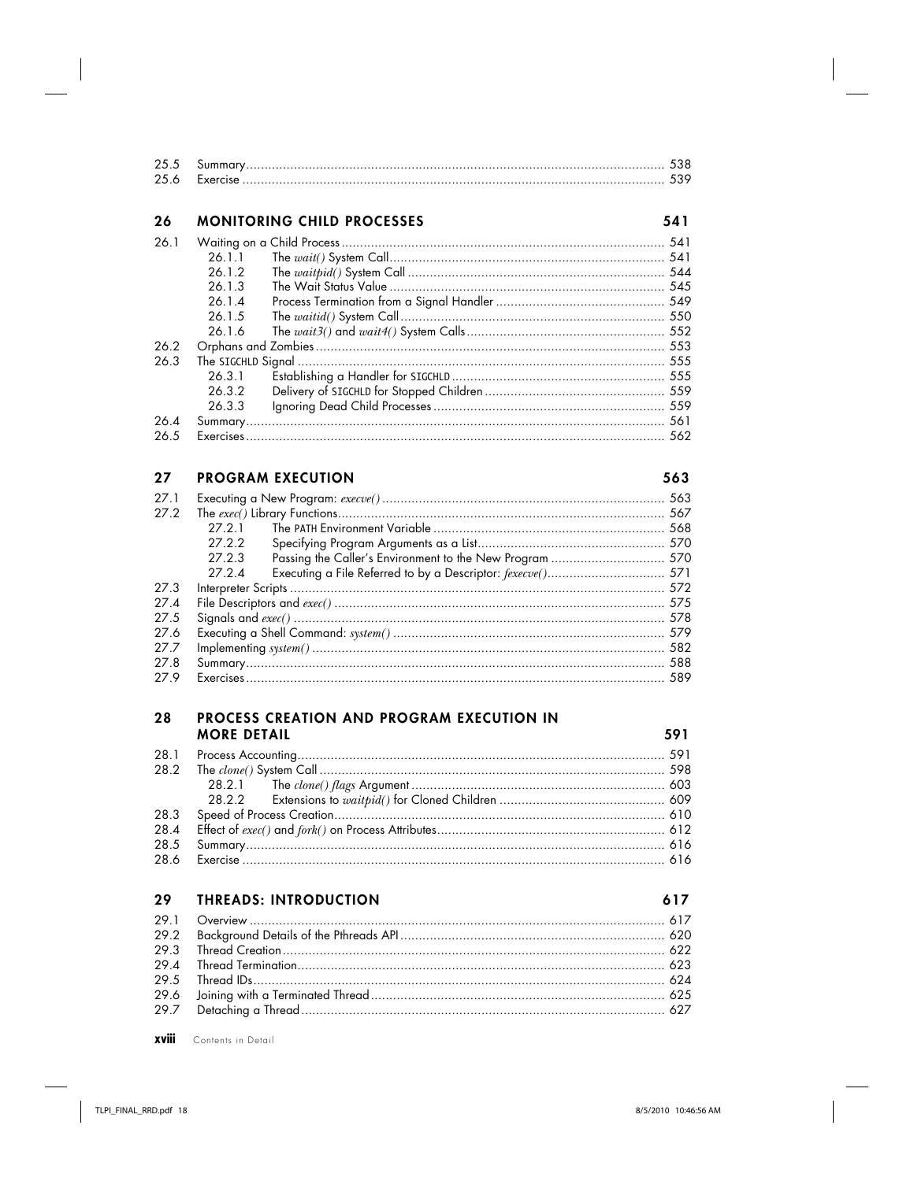| 26   |        | <b>MONITORING CHILD PROCESSES</b> | 541 |
|------|--------|-----------------------------------|-----|
| 26.1 |        |                                   |     |
|      | 26.1.1 |                                   |     |
|      | 26.1.2 |                                   |     |
|      | 26.1.3 |                                   |     |
|      | 26.1.4 |                                   |     |
|      | 26.1.5 |                                   |     |
|      | 26.1.6 |                                   |     |
| 26.2 |        |                                   |     |
| 26.3 |        |                                   |     |
|      | 26.3.1 |                                   |     |
|      | 26.3.2 |                                   |     |
|      | 26.3.3 |                                   |     |
| 26.4 |        |                                   |     |
| 26.5 |        | $Exercises$ 562                   |     |

### **PROGRAM EXECUTION**  $27$

### 563

| 27.1 |                  |                                                          |     |
|------|------------------|----------------------------------------------------------|-----|
| 27.2 |                  |                                                          |     |
|      | 27.2.1           |                                                          |     |
|      | 27.2.2           |                                                          |     |
|      | 27.2.3           | Passing the Caller's Environment to the New Program  570 |     |
|      | 27.24            |                                                          |     |
| 27.3 |                  |                                                          |     |
| 27 A |                  |                                                          |     |
| 27.5 |                  |                                                          |     |
| 27.6 |                  |                                                          |     |
| 27 Z |                  |                                                          |     |
| 27.8 |                  |                                                          |     |
| 27 9 | <b>Exercises</b> |                                                          | 589 |

### 28 PROCESS CREATION AND PROGRAM EXECUTION IN **MORE DETAIL**

| 286 Exercise | $\sim$ 616 |
|--------------|------------|

#### 29 **THREADS: INTRODUCTION**

### 617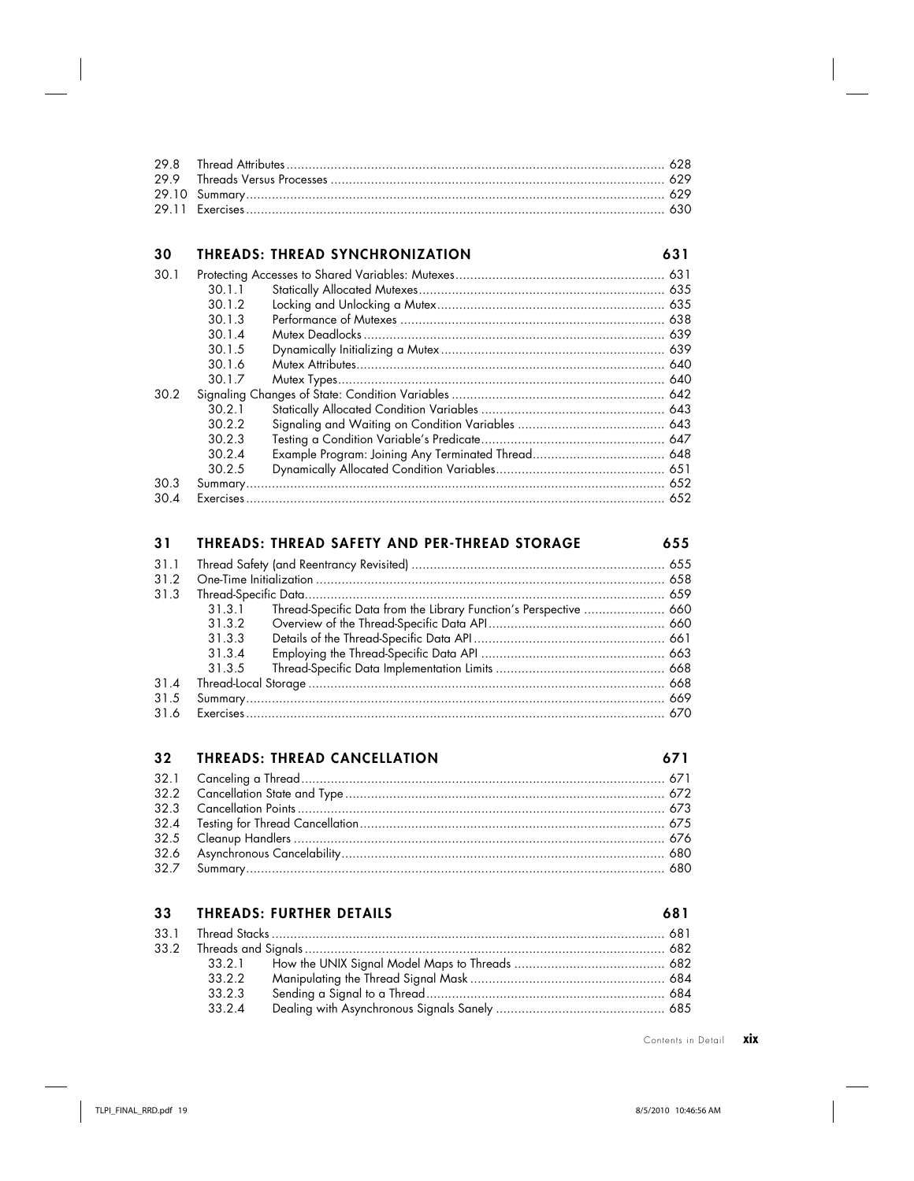# **30 THREADS: THREAD SYNCHRONIZATION 631**

| 30.1 |        |  |
|------|--------|--|
|      | 30.1.1 |  |
|      | 30.1.2 |  |
|      | 30.1.3 |  |
|      | 30.14  |  |
|      | 30.1.5 |  |
|      | 3016   |  |
|      | 30.1.7 |  |
| 30.2 |        |  |
|      | 30.2.1 |  |
|      | 30.2.2 |  |
|      | 30.2.3 |  |
|      | 30.2.4 |  |
|      | 30.2.5 |  |
| 30.3 |        |  |
| 30.4 |        |  |

# **31 THREADS: THREAD SAFETY AND PER-THREAD STORAGE 655** 31.1 Thread Safety (and Reentrancy Revisited) ..................................................................... 655

| 31.3 |        |                                                                   |  |
|------|--------|-------------------------------------------------------------------|--|
|      | 31.3.1 | Thread-Specific Data from the Library Function's Perspective  660 |  |
|      | 31.3.2 |                                                                   |  |
|      | 31.3.3 |                                                                   |  |
|      | 31 3 4 |                                                                   |  |
|      | 31.3.5 |                                                                   |  |
| 31.4 |        |                                                                   |  |
| 31.5 |        |                                                                   |  |
|      |        |                                                                   |  |
|      |        |                                                                   |  |

# **32 THREADS: THREAD CANCELLATION 671**

## **33 THREADS: FURTHER DETAILS 681**

|  |  | 681 |
|--|--|-----|
|  |  |     |

| 33.2.2 |  |
|--------|--|
| 33.2.3 |  |
| 3324   |  |

Contents in Detail **xix**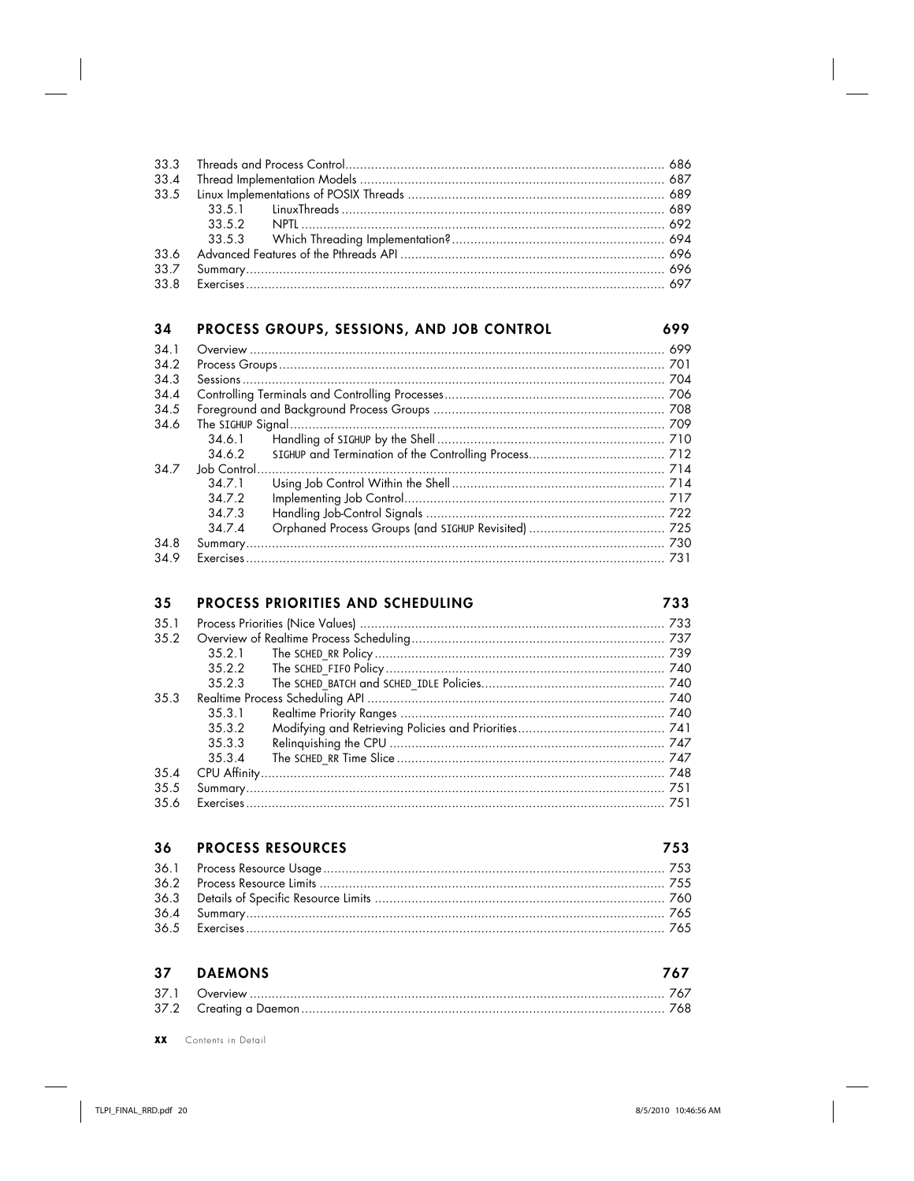#### 34 PROCESS GROUPS, SESSIONS, AND JOB CONTROL 699  $341$ 34.2 343  $344$  $34.5$ 346  $3461$ 34.6.2 34.7  $34.7.1$ 34.7.2 34.7.3 34.7.4  $240$ 730

| -94.0 |                                                                                                      |  |
|-------|------------------------------------------------------------------------------------------------------|--|
| 34.9  | م روم المستنسسين المستنسسين المستنسسين المستنسسين المستنسسين المستنسسين المستنسرة المعاملات المناسبة |  |

#### 35 PROCESS PRIORITIES AND SCHEDULING

733  $35.1$  $3.5.2$  $35.2.1$ 35.2.2 35.2.3  $35<sub>3</sub>$  $35.3.1$  $3.5.3.2$  $3533$  $3.5.3 \text{ } 4$  $3.5 \Delta$ 35.5 35.6 

#### 36 **PROCESS RESOURCES** 753 36.1 36.2 36.3 36.4 36.5

#### 37 **DAEMONS** 767  $37.1$  $37.2$

**YY** Contents in Detail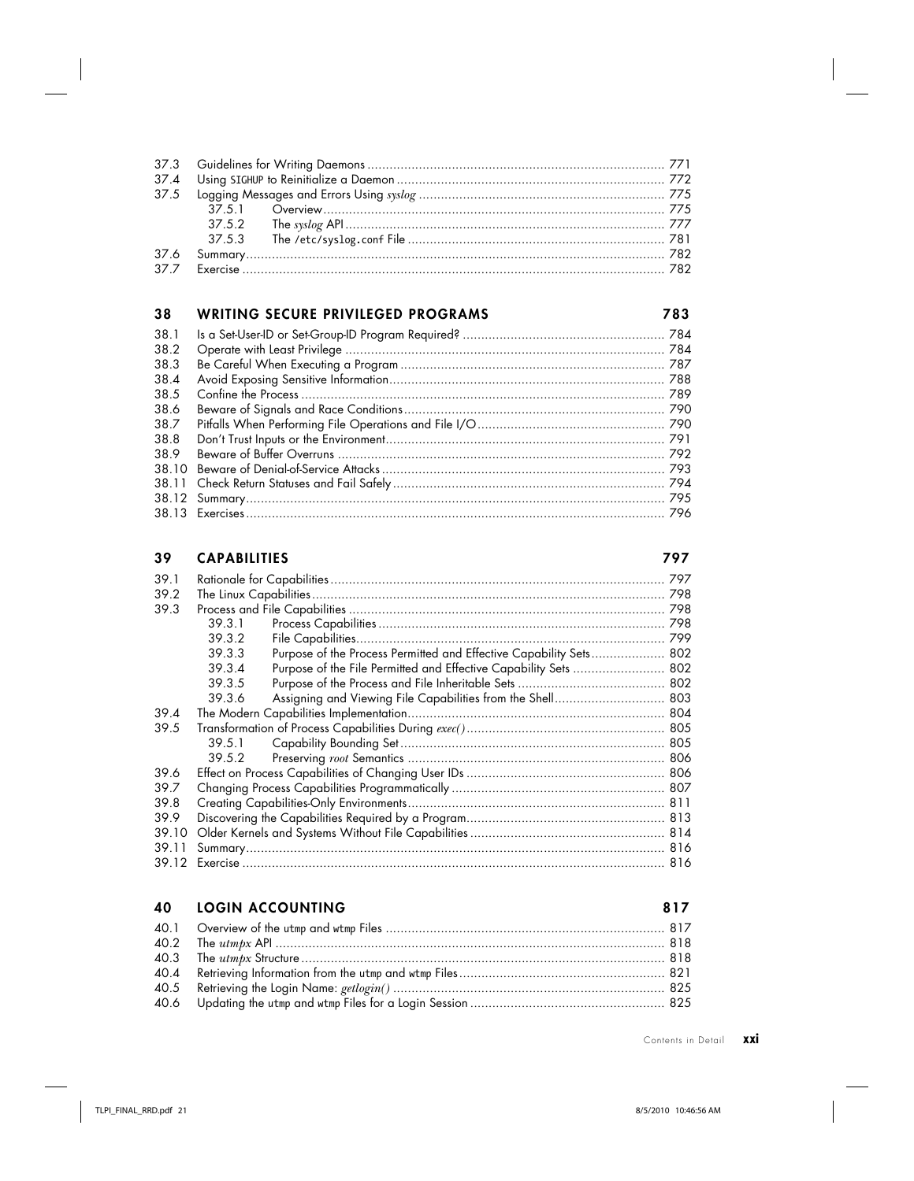### 38 **WRITING SECURE PRIVILEGED PROGRAMS**

| 38.1 |  |
|------|--|
| 38.2 |  |
| 38.3 |  |
| 38.4 |  |
| 38.5 |  |
| 38.6 |  |
| 38.7 |  |
| 38.8 |  |
| 38.9 |  |
|      |  |
|      |  |
|      |  |
|      |  |

#### 39 **CAPABILITIES**

### 797

783

| 39.1  |        |                                                                    | 797 |
|-------|--------|--------------------------------------------------------------------|-----|
| 39.2  |        |                                                                    |     |
| 39.3  |        |                                                                    |     |
|       | 39.3.1 |                                                                    |     |
|       | 39.3.2 |                                                                    |     |
|       | 39.3.3 | Purpose of the Process Permitted and Effective Capability Sets 802 |     |
|       | 39.3.4 | Purpose of the File Permitted and Effective Capability Sets  802   |     |
|       | 39.3.5 |                                                                    |     |
|       | 39.3.6 | Assigning and Viewing File Capabilities from the Shell 803         |     |
| 39 4  |        |                                                                    |     |
| 39.5  |        |                                                                    |     |
|       | 39.5.1 |                                                                    |     |
|       | 39.5.2 |                                                                    |     |
| 39.6  |        |                                                                    |     |
| 39.7  |        |                                                                    |     |
| 39.8  |        |                                                                    |     |
| 39.9  |        |                                                                    |     |
| 39.10 |        |                                                                    |     |
| 39.11 |        |                                                                    |     |
| 39.12 |        |                                                                    |     |

#### 40 **LOGIN ACCOUNTING**

#### 817 40.1 40.2 40.3 40.4 40.5 40.6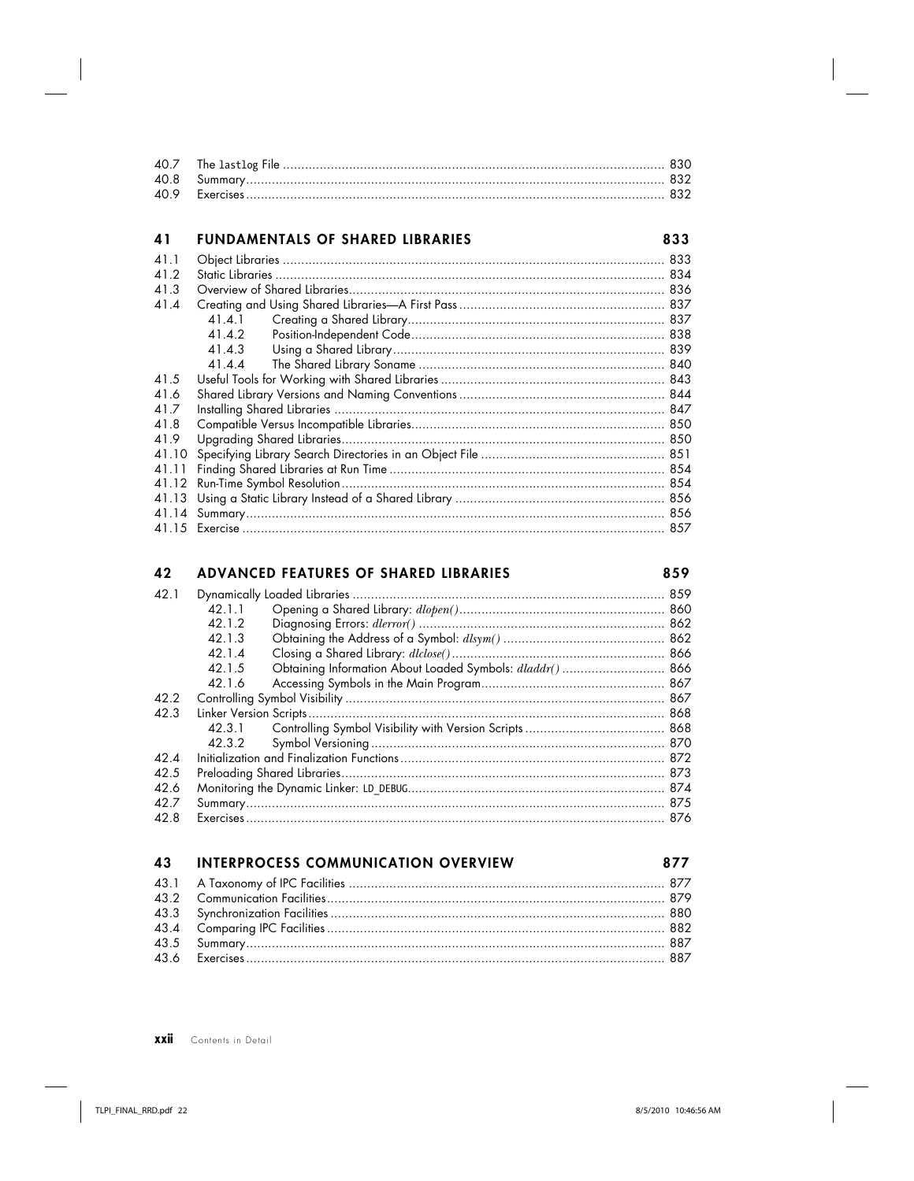### FUNDAMENTALS OF SHARED LIBRARIES 41

| 41    | <b>FUNDAMENTALS OF SHARED LIBRARIES</b> | 833 |
|-------|-----------------------------------------|-----|
| 41.1  |                                         |     |
| 41.2  |                                         |     |
| 41.3  |                                         |     |
| 41.4  |                                         |     |
|       | 41.4.1                                  |     |
|       | 41.4.2                                  |     |
|       | 41.4.3                                  |     |
|       | 41.4.4                                  |     |
| 41.5  |                                         |     |
| 41.6  |                                         |     |
| 41.7  |                                         |     |
| 41.8  |                                         |     |
| 41.9  |                                         |     |
| 41.10 |                                         |     |
| 41.11 |                                         |     |
|       |                                         |     |
|       |                                         |     |
|       |                                         |     |
|       |                                         |     |

### 42 ADVANCED FEATURES OF SHARED LIBRARIES

| 42.1 |        |                                                          |  |
|------|--------|----------------------------------------------------------|--|
|      | 42.1.1 |                                                          |  |
|      | 42.1.2 |                                                          |  |
|      | 42.1.3 |                                                          |  |
|      | 42.1.4 |                                                          |  |
|      | 42.1.5 | Obtaining Information About Loaded Symbols: dladdr() 866 |  |
|      | 42.1.6 |                                                          |  |
| 42.2 |        |                                                          |  |
| 42.3 |        |                                                          |  |
|      | 42.3.1 |                                                          |  |
|      |        |                                                          |  |
| 42.4 |        |                                                          |  |
| 42.5 |        |                                                          |  |
| 426  |        |                                                          |  |
| 42.7 |        |                                                          |  |
| 42.8 |        |                                                          |  |

| <b>43 INTERPROCESS COMMUNICATION OVERVIEW</b> | 877 |
|-----------------------------------------------|-----|
|                                               |     |
|                                               |     |
|                                               |     |
|                                               |     |
|                                               |     |
|                                               |     |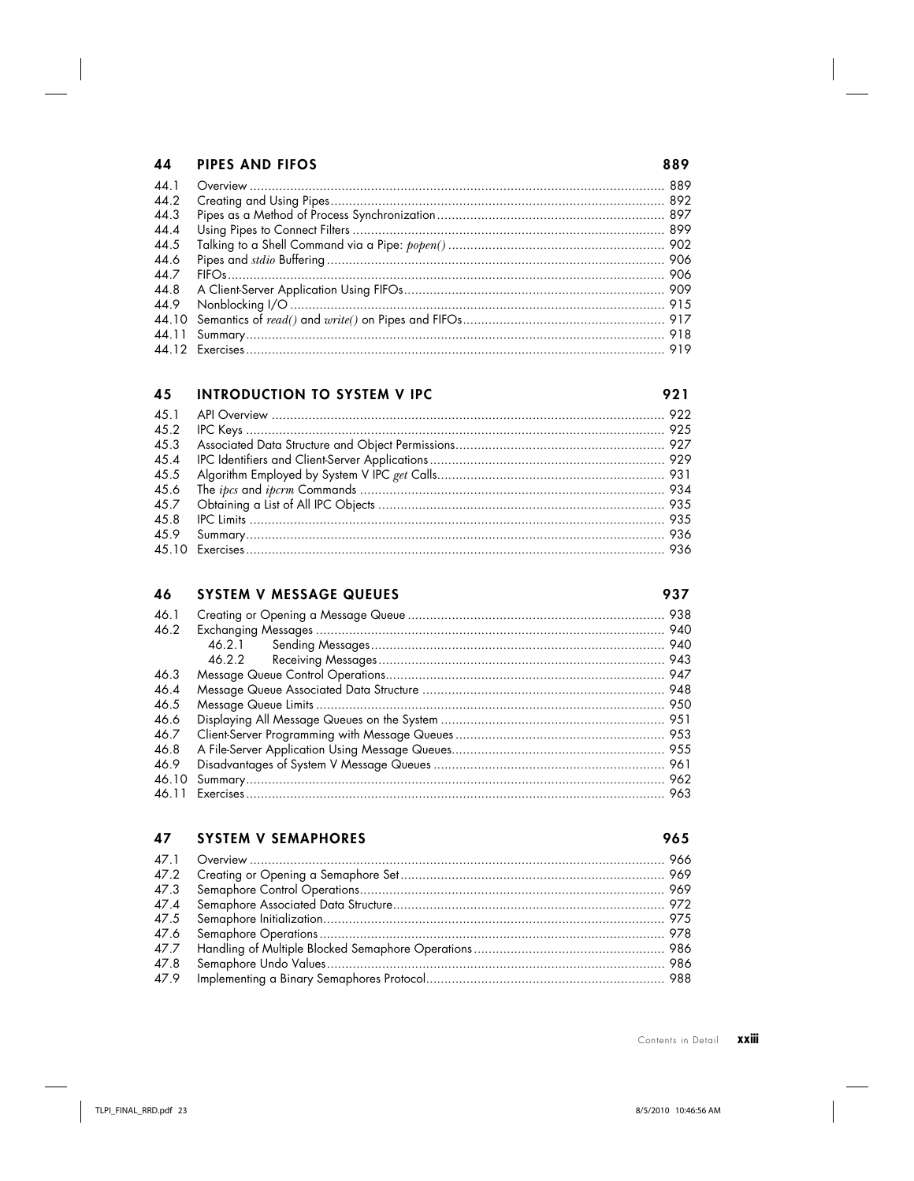### PIPES AND FIFOS 44

| 44.1 |  |
|------|--|
| 44.2 |  |
| 44.3 |  |
| 44.4 |  |
| 44.5 |  |
| 44.6 |  |
| 447  |  |
|      |  |
|      |  |
|      |  |
|      |  |
|      |  |

#### **INTRODUCTION TO SYSTEM V IPC** 45

#### 46 **SYSTEM V MESSAGE QUEUES**

937

965

921

889

| 46.1  |        |  |
|-------|--------|--|
| 46.2  |        |  |
|       | 46.2.1 |  |
|       | 46.2.2 |  |
| 46.3  |        |  |
| 46.4  |        |  |
| 46.5  |        |  |
| 46.6  |        |  |
| 46.7  |        |  |
| 46.8  |        |  |
| 46.9  |        |  |
| 46.10 |        |  |
|       |        |  |

### 47 **SYSTEM V SEMAPHORES**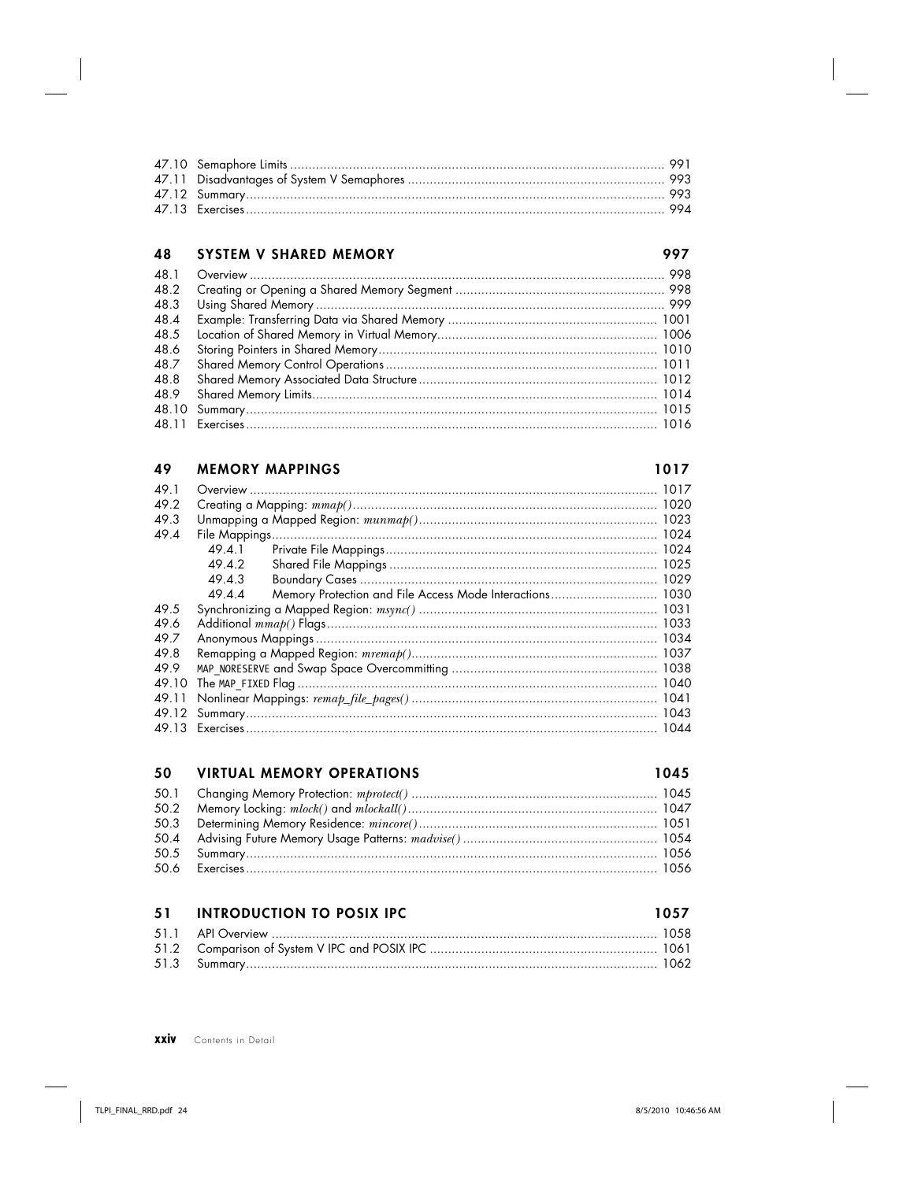### 48 SYSTEM V SHARED MEMORY

### 997

| 48.2 |  |
|------|--|
| 48.3 |  |
| 48.4 |  |
| 48.5 |  |
| 48.6 |  |
| 48.7 |  |
|      |  |
|      |  |
|      |  |
|      |  |

#### **MEMORY MAPPINGS** 49

### 1017

| 49.1  |        |                                                            |  |
|-------|--------|------------------------------------------------------------|--|
| 49.2  |        |                                                            |  |
| 49.3  |        |                                                            |  |
| 49.4  |        |                                                            |  |
|       | 49.4.1 |                                                            |  |
|       | 49.4.2 |                                                            |  |
|       | 49.4.3 |                                                            |  |
|       | 49.4.4 | Memory Protection and File Access Mode Interactions 1030   |  |
| 49.5  |        |                                                            |  |
| 49.6  |        |                                                            |  |
| 49.7  |        |                                                            |  |
| 49.8  |        |                                                            |  |
| 49.9  |        |                                                            |  |
| 49.10 |        | The MAP_FIXED Flag ………………………………………………………………………………………… 1040 |  |
| 49.11 |        |                                                            |  |
| 49.12 |        |                                                            |  |
|       |        |                                                            |  |

#### 50 **VIRTUAL MEMORY OPERATIONS**

### 1045

1057

### $51$ **INTRODUCTION TO POSIX IPC**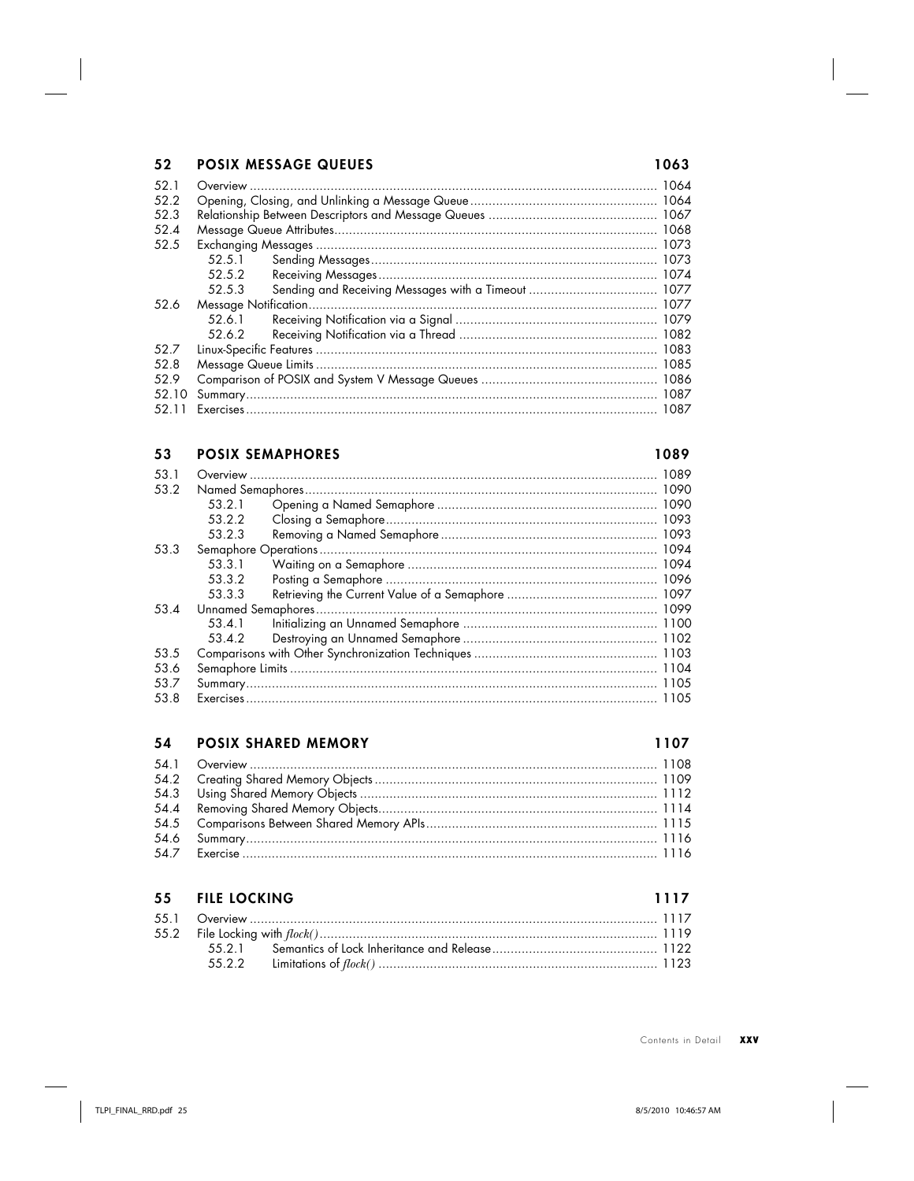## 52 POSIX MESSAGE QUEUES

| 52.1<br>52.2 |        |  |
|--------------|--------|--|
| 52.3         |        |  |
| 52.4         |        |  |
| 52.5         |        |  |
|              | 52.5.1 |  |
|              | 52.5.2 |  |
|              | 52.5.3 |  |
| 52.6         |        |  |
|              | 52.6.1 |  |
|              | 52.6.2 |  |
| 52.7         |        |  |
| 52.8         |        |  |
| 52.9         |        |  |
| 52.10        |        |  |
| 52.11        |        |  |

### 53 POSIX SEMAPHORES

### 1089

1063

| 53.1 |        |  |
|------|--------|--|
| 53.2 |        |  |
|      | 53.2.1 |  |
|      | 53.2.2 |  |
|      | 53.2.3 |  |
| 53.3 |        |  |
|      | 53.3.1 |  |
|      | 53.3.2 |  |
|      | 53.3.3 |  |
| 53.4 |        |  |
|      | 53.4.1 |  |
|      | 53.4.2 |  |
| 53.5 |        |  |
| 53.6 |        |  |
| 53.7 |        |  |
| 53.8 |        |  |

### 54 POSIX SHARED MEMORY

### 1107

1117

### 55 FILE LOCKING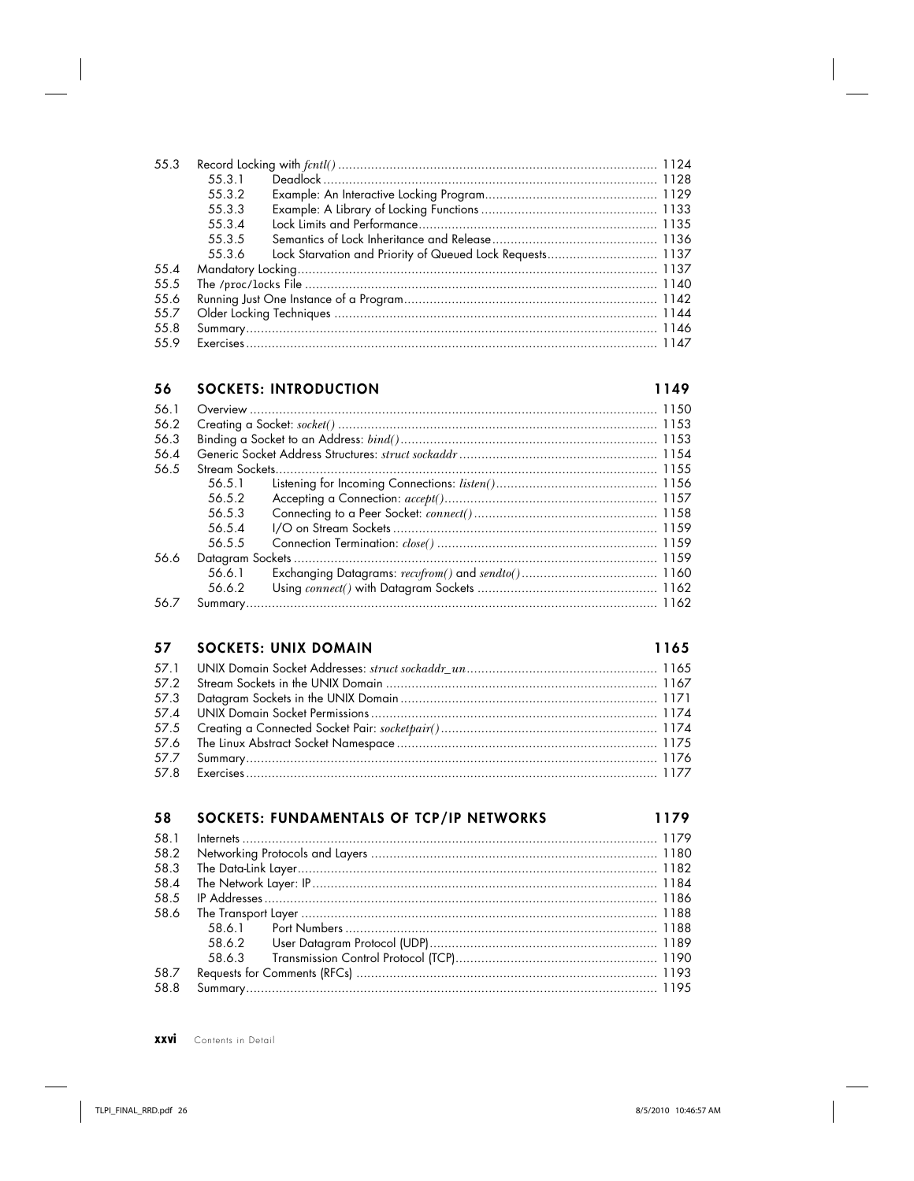| 55.3 |        |                                                           |  |
|------|--------|-----------------------------------------------------------|--|
|      | 55.3.1 |                                                           |  |
|      | 55.3.2 |                                                           |  |
|      | 55.3.3 |                                                           |  |
|      | 55.3.4 |                                                           |  |
|      | 55.3.5 |                                                           |  |
|      | 55.3.6 | Lock Starvation and Priority of Queued Lock Requests 1137 |  |
| 554  |        |                                                           |  |
| 55.5 |        |                                                           |  |
| 55.6 |        |                                                           |  |
| 55.7 |        |                                                           |  |
| 558  |        |                                                           |  |
| 55.9 |        |                                                           |  |

## 56 SOCKETS: INTRODUCTION

### 1149

| 56.5.1 |  |
|--------|--|
| 56.5.2 |  |
| 56.5.3 |  |
| 56.5.4 |  |
| 56.5.5 |  |
|        |  |
| 56.6.1 |  |
| 56.6.2 |  |
|        |  |
|        |  |

# 57 SOCKETS: UNIX DOMAIN

| 58   | SOCKETS: FUNDAMENTALS OF TCP/IP NETWORKS | 1179 |
|------|------------------------------------------|------|
| 58.1 |                                          |      |
| 58.2 |                                          |      |
| 58.3 |                                          |      |
| 58.4 |                                          |      |
| 58.5 |                                          |      |
| 58.6 |                                          |      |
|      | 58.6.1                                   |      |
|      |                                          |      |
|      | 58.6.3                                   |      |
| 58.7 |                                          |      |
| 58.8 |                                          |      |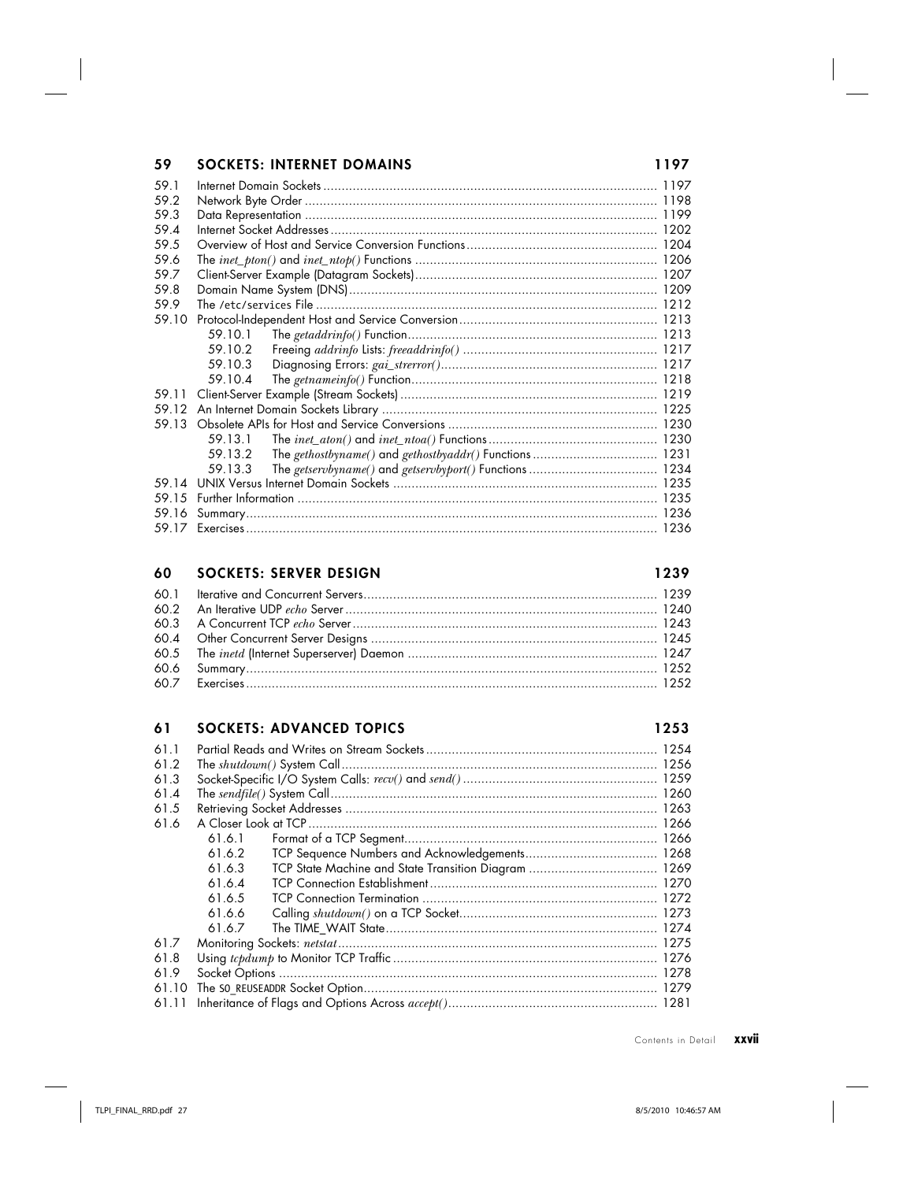# **59 SOCKETS: INTERNET DOMAINS 1197**

| 59.1  |         |  |
|-------|---------|--|
| 59.2  |         |  |
| 59.3  |         |  |
| 59.4  |         |  |
| 59.5  |         |  |
| 59.6  |         |  |
| 59.7  |         |  |
| 59.8  |         |  |
| 59.9  |         |  |
| 59.10 |         |  |
|       |         |  |
|       | 59.10.2 |  |
|       | 59.10.3 |  |
|       | 59.10.4 |  |
| 59.11 |         |  |
| 59.12 |         |  |
| 59.13 |         |  |
|       | 59.13.1 |  |
|       | 59.13.2 |  |
|       | 59.13.3 |  |
| 59.14 |         |  |
| 59.15 |         |  |
| 59.16 |         |  |
|       |         |  |

### **60 SOCKETS: SERVER DESIGN 1239**

### **61 SOCKETS: ADVANCED TOPICS 1253**

| 61.1  |        |  |
|-------|--------|--|
| 61.2  |        |  |
| 61.3  |        |  |
| 61.4  |        |  |
| 61.5  |        |  |
| 61.6  |        |  |
|       | 61.6.1 |  |
|       | 61.6.2 |  |
|       | 61.6.3 |  |
|       | 61.6.4 |  |
|       | 61.6.5 |  |
|       | 61.6.6 |  |
|       | 61.6.7 |  |
| 61.7  |        |  |
| 61.8  |        |  |
| 61.9  |        |  |
| 61.10 |        |  |
| 61.11 |        |  |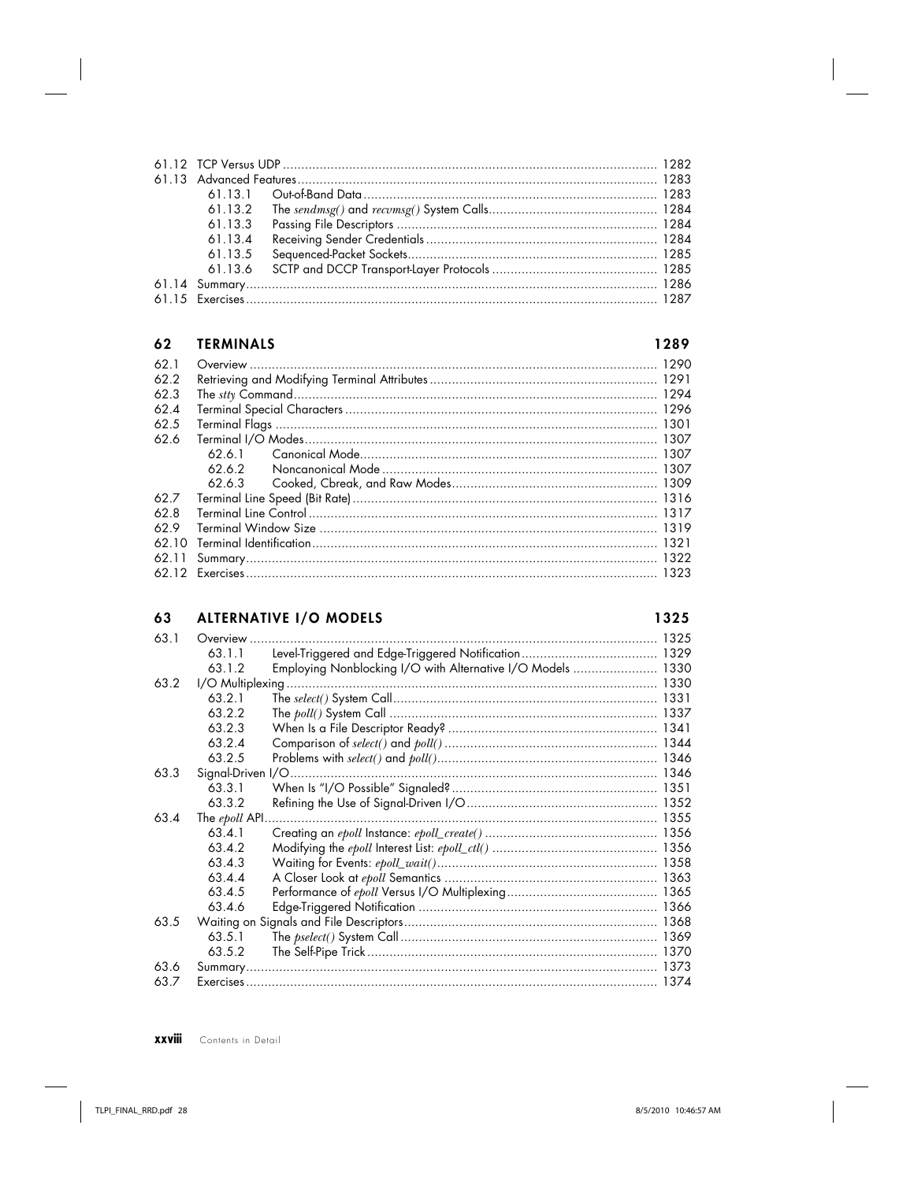| 61.13.3 |  |
|---------|--|
| 61.13.4 |  |
| 61.13.5 |  |
|         |  |
|         |  |
|         |  |

#### 62 **TERMINALS**

1289

| 62.1  |        |  |
|-------|--------|--|
| 62.2  |        |  |
| 62.3  |        |  |
| 62.4  |        |  |
| 62.5  |        |  |
| 62.6  |        |  |
|       | 62.6.1 |  |
|       | 62.6.2 |  |
|       |        |  |
| 62.7  |        |  |
| 628   |        |  |
| 62.9  |        |  |
| 62.10 |        |  |
|       |        |  |
|       |        |  |

### **ALTERNATIVE I/O MODELS** 63

| 63.1 | Overview.         |                                                             |      |
|------|-------------------|-------------------------------------------------------------|------|
|      | 63.1.1            |                                                             |      |
|      | 63.1.2            | Employing Nonblocking I/O with Alternative I/O Models  1330 |      |
| 63.2 |                   | I/O Multiplexing                                            |      |
|      | 63.2.1            |                                                             |      |
|      | 63.2.2            |                                                             |      |
|      | 63.2.3            |                                                             |      |
|      | 63.2.4            |                                                             |      |
|      | 63.2.5            |                                                             |      |
| 63.3 | Signal-Driven I/O |                                                             |      |
|      | 63.3.1            |                                                             |      |
|      | 63.3.2            |                                                             |      |
| 63.4 | The epoll API.    |                                                             |      |
|      | 63.4.1            |                                                             |      |
|      | 6342              |                                                             |      |
|      | 63.4.3            |                                                             |      |
|      | 63.4.4            |                                                             |      |
|      | 63.4.5            |                                                             |      |
|      | 63.4.6            |                                                             |      |
| 63.5 |                   |                                                             |      |
|      | 63.5.1            |                                                             |      |
|      | 63.5.2            |                                                             |      |
| 63.6 | Summary           |                                                             |      |
| 63.7 |                   |                                                             | 1374 |